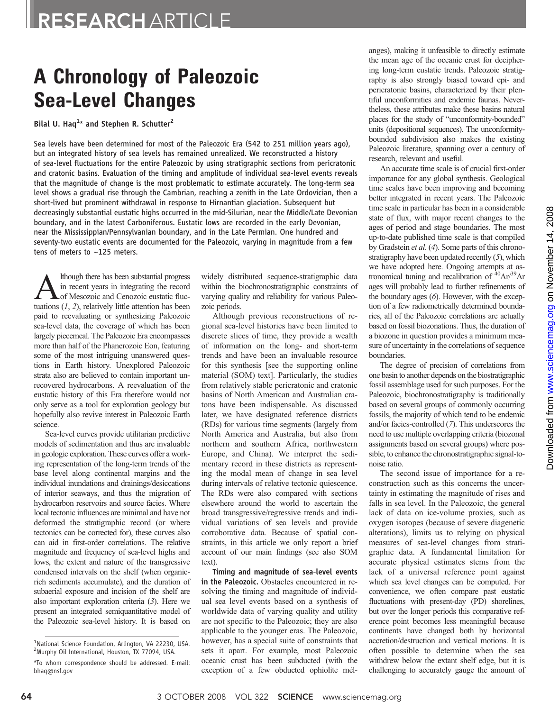# **A Chronology of Paleozoic<br>Sea-Level Changes**

 $\overline{S}$  and  $\overline{S}$  and Stephen R. Schutter<sup>2</sup>

Sea levels have been determined for most of the Paleozoic Era (542 to 251 million years ago), but an integrated history of sea levels has remained unrealized. We reconstructed a history of sea-level fluctuations for the entire Paleozoic by using stratigraphic sections from pericratonic and cratonic basins. Evaluation of the timing and amplitude of individual sea-level events reveals that the magnitude of change is the most problematic to estimate accurately. The long-term sea level shows a gradual rise through the Cambrian, reaching a zenith in the Late Ordovician, then a short-lived but prominent withdrawal in response to Hirnantian glaciation. Subsequent but decreasingly substantial eustatic highs occurred in the mid-Silurian, near the Middle/Late Devonian boundary, and in the latest Carboniferous. Eustatic lows are recorded in the early Devonian, near the Mississippian/Pennsylvanian boundary, and in the Late Permian. One hundred and seventy-two eustatic events are documented for the Paleozoic, varying in magnitude from a few tens of meters to ~125 meters.

 $\sum_{\text{in recent years in integrating the record}}$  in recent years in integrating the record of Mesozoic and Cenozoic eustatic fluctuations (1–2) relatively little attention has been in recent years in integrating the record tuations  $(1, 2)$ , relatively little attention has been paid to reevaluating or synthesizing Paleozoic sea-level data, the coverage of which has been largely piecemeal. The Paleozoic Era encompasses more than half of the Phanerozoic Eon, featuring some of the most intriguing unanswered questions in Earth history. Unexplored Paleozoic strata also are believed to contain important unrecovered hydrocarbons. A reevaluation of the eustatic history of this Era therefore would not only serve as a tool for exploration geology but hopefully also revive interest in Paleozoic Earth science.

Sea-level curves provide utilitarian predictive models of sedimentation and thus are invaluable in geologic exploration. These curves offer a working representation of the long-term trends of the base level along continental margins and the individual inundations and drainings/desiccations of interior seaways, and thus the migration of hydrocarbon reservoirs and source facies. Where local tectonic influences are minimal and have not deformed the stratigraphic record (or where tectonics can be corrected for), these curves also can aid in first-order correlations. The relative magnitude and frequency of sea-level highs and lows, the extent and nature of the transgressive condensed intervals on the shelf (when organicrich sediments accumulate), and the duration of subaerial exposure and incision of the shelf are also important exploration criteria (3). Here we present an integrated semiquantitative model of the Paleozoic sea-level history. It is based on

widely distributed sequence-stratigraphic data within the biochronostratigraphic constraints of varying quality and reliability for various Paleozoic periods.

Although previous reconstructions of regional sea-level histories have been limited to discrete slices of time, they provide a wealth of information on the long- and short-term trends and have been an invaluable resource for this synthesis [see the supporting online material (SOM) text]. Particularly, the studies from relatively stable pericratonic and cratonic basins of North American and Australian cratons have been indispensable. As discussed later, we have designated reference districts (RDs) for various time segments (largely from North America and Australia, but also from northern and southern Africa, northwestern Europe, and China). We interpret the sedimentary record in these districts as representing the modal mean of change in sea level during intervals of relative tectonic quiescence. The RDs were also compared with sections elsewhere around the world to ascertain the broad transgressive/regressive trends and individual variations of sea levels and provide corroborative data. Because of spatial constraints, in this article we only report a brief account of our main findings (see also SOM text).

Timing and magnitude of sea-level events in the Paleozoic. Obstacles encountered in resolving the timing and magnitude of individual sea level events based on a synthesis of worldwide data of varying quality and utility are not specific to the Paleozoic; they are also applicable to the younger eras. The Paleozoic, however, has a special suite of constraints that sets it apart. For example, most Paleozoic oceanic crust has been subducted (with the exception of a few obducted ophiolite mélanges), making it unfeasible to directly estimate the mean age of the oceanic crust for deciphering long-term eustatic trends. Paleozoic stratigraphy is also strongly biased toward epi- and pericratonic basins, characterized by their plentiful unconformities and endemic faunas. Nevertheless, these attributes make these basins natural places for the study of "unconformity-bounded" units (depositional sequences). The unconformitybounded subdivision also makes the existing Paleozoic literature, spanning over a century of research, relevant and useful.

An accurate time scale is of crucial first-order importance for any global synthesis. Geological time scales have been improving and becoming better integrated in recent years. The Paleozoic time scale in particular has been in a considerable state of flux, with major recent changes to the ages of period and stage boundaries. The most up-to-date published time scale is that compiled by Gradstein et al. (4). Some parts of this chronostratigraphy have been updated recently (5), which we have adopted here. Ongoing attempts at astronomical tuning and recalibration of  ${}^{40}Ar/{}^{39}Ar$ ages will probably lead to further refinements of the boundary ages (6). However, with the exception of a few radiometrically determined boundaries, all of the Paleozoic correlations are actually based on fossil biozonations. Thus, the duration of a biozone in question provides a minimum measure of uncertainty in the correlations of sequence boundaries.

The degree of precision of correlations from one basin to another depends on the biostratigraphic fossil assemblage used for such purposes. For the Paleozoic, biochronostratigraphy is traditionally based on several groups of commonly occurring fossils, the majority of which tend to be endemic and/or facies-controlled (7). This underscores the need to use multiple overlapping criteria (biozonal assignments based on several groups) where possible, to enhance the chronostratigraphic signal-tonoise ratio.

The second issue of importance for a reconstruction such as this concerns the uncertainty in estimating the magnitude of rises and falls in sea level. In the Paleozoic, the general lack of data on ice-volume proxies, such as oxygen isotopes (because of severe diagenetic alterations), limits us to relying on physical measures of sea-level changes from stratigraphic data. A fundamental limitation for accurate physical estimates stems from the lack of a universal reference point against which sea level changes can be computed. For convenience, we often compare past eustatic fluctuations with present-day (PD) shorelines, but over the longer periods this comparative reference point becomes less meaningful because continents have changed both by horizontal accretion/destruction and vertical motions. It is often possible to determine when the sea withdrew below the extant shelf edge, but it is challenging to accurately gauge the amount of

<sup>&</sup>lt;sup>1</sup>National Science Foundation, Arlington, VA 22230, USA. <sup>2</sup>Murphy Oil International, Houston, TX 77094, USA.

<sup>\*</sup>To whom correspondence should be addressed. E-mail: bhaq@nsf.gov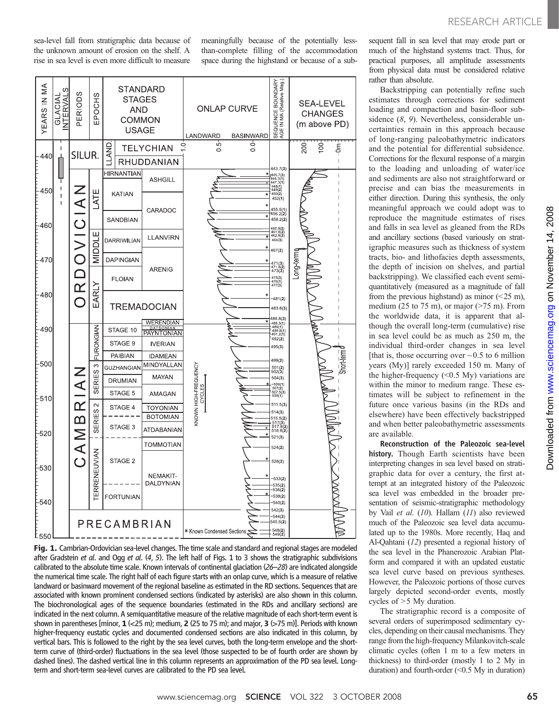sea-level fall from stratigraphic data because of the unknown amount of erosion on the shelf. A rise in sea level is even more difficult to measure

meaningfully because of the potentially lessthan-complete filling of the accommodation space during the highstand or because of a sub-



Fig. 1. Cambrian-Ordovician sea-level changes. The time scale and standard and regional stages are modeled after Gradstein et al. and Ogg et al. (4, 5). The left half of Figs. 1 to 3 shows the stratigraphic subdivisions calibrated to the absolute time scale. Known intervals of continental glaciation (26–28) are indicated alongside the numerical time scale. The right half of each figure starts with an onlap curve, which is a measure of relative landward or basinward movement of the regional baseline as estimated in the RD sections. Sequences that are associated with known prominent condensed sections (indicated by asterisks) are also shown in this column. The biochronological ages of the sequence boundaries (estimated in the RDs and ancillary sections) are indicated in the next column. A semiquantitative measure of the relative magnitude of each short-term event is shown in parentheses [minor, 1 (<25 m); medium, 2 (25 to 75 m); and major, 3 (>75 m)]. Periods with known higher-frequency eustatic cycles and documented condensed sections are also indicated in this column, by vertical bars. This is followed to the right by the sea level curves, both the long-term envelope and the shortterm curve of (third-order) fluctuations in the sea level (those suspected to be of fourth order are shown by dashed lines). The dashed vertical line in this column represents an approximation of the PD sea level. Longterm and short-term sea-level curves are calibrated to the PD sea level.

sequent fall in sea level that may erode part or much of the highstand systems tract. Thus, for practical purposes, all amplitude assessments from physical data must be considered relative rather than absolute.

Backstripping can potentially refine such estimates through corrections for sediment loading and compaction and basin-floor subsidence (8, 9). Nevertheless, considerable uncertainties remain in this approach because of long-ranging paleobathymetric indicators and the potential for differential subsidence. Corrections for the flexural response of a margin to the loading and unloading of water/ice and sediments are also not straightforward or precise and can bias the measurements in either direction. During this synthesis, the only meaningful approach we could adopt was to reproduce the magnitude estimates of rises and falls in sea level as gleaned from the RDs and ancillary sections (based variously on stratigraphic measures such as thickness of system tracts, bio- and lithofacies depth assessments, the depth of incision on shelves, and partial backstripping). We classified each event semiquantitatively (measured as a magnitude of fall from the previous highstand) as minor  $(\leq 25 \text{ m})$ , medium (25 to 75 m), or major ( $>75$  m). From the worldwide data, it is apparent that although the overall long-term (cumulative) rise in sea level could be as much as 250 m, the individual third-order changes in sea level [that is, those occurring over  $\sim 0.5$  to 6 million years (My)] rarely exceeded 150 m. Many of the higher-frequency (<0.5 My) variations are within the minor to medium range. These estimates will be subject to refinement in the future once various basins (in the RDs and elsewhere) have been effectively backstripped and when better paleobathymetric assessments are available.

Reconstruction of the Paleozoic sea-level history. Though Earth scientists have been interpreting changes in sea level based on stratigraphic data for over a century, the first attempt at an integrated history of the Paleozoic sea level was embedded in the broader presentation of seismic-stratigraphic methodology by Vail et al. (10). Hallam (11) also reviewed much of the Paleozoic sea level data accumulated up to the 1980s. More recently, Haq and Al-Qahtani (12) presented a regional history of the sea level in the Phanerozoic Arabian Platform and compared it with an updated eustatic sea level curve based on previous syntheses. However, the Paleozoic portions of those curves largely depicted second-order events, mostly cycles of >5 My duration.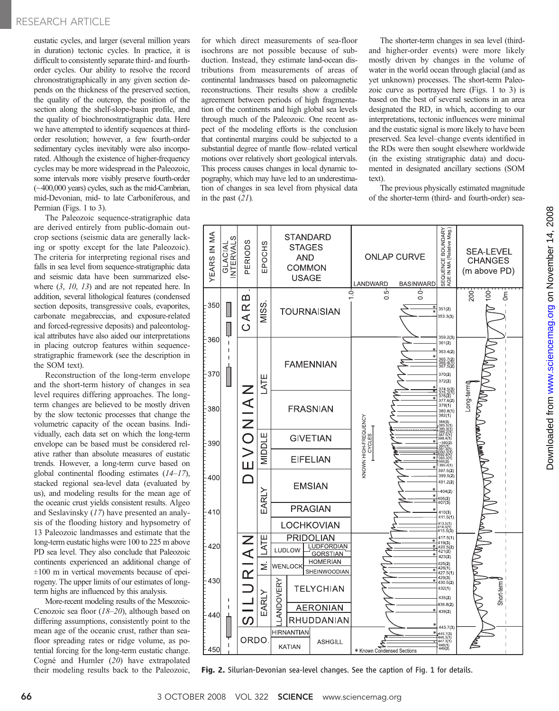## RESEARCH ARTICLE

eustatic cycles, and larger (several million years in duration) tectonic cycles. In practice, it is difficult to consistently separate third- and fourthorder cycles. Our ability to resolve the record chronostratigraphically in any given section depends on the thickness of the preserved section, the quality of the outcrop, the position of the section along the shelf-slope-basin profile, and the quality of biochronostratigraphic data. Here we have attempted to identify sequences at thirdorder resolution; however, a few fourth-order sedimentary cycles inevitably were also incorporated. Although the existence of higher-frequency cycles may be more widespread in the Paleozoic, some intervals more visibly preserve fourth-order (~400,000 years) cycles, such as the mid-Cambrian, mid-Devonian, mid- to late Carboniferous, and Permian (Figs. 1 to 3).

The Paleozoic sequence-stratigraphic data are derived entirely from public-domain outcrop sections (seismic data are generally lacking or spotty except for the late Paleozoic). The criteria for interpreting regional rises and falls in sea level from sequence-stratigraphic data and seismic data have been summarized elsewhere (3, 10, 13) and are not repeated here. In addition, several lithological features (condensed section deposits, transgressive coals, evaporites, carbonate megabreccias, and exposure-related and forced-regressive deposits) and paleontological attributes have also aided our interpretations in placing outcrop features within sequencestratigraphic framework (see the description in the SOM text).

Reconstruction of the long-term envelope and the short-term history of changes in sea level requires differing approaches. The longterm changes are believed to be mostly driven by the slow tectonic processes that change the volumetric capacity of the ocean basins. Individually, each data set on which the long-term envelope can be based must be considered relative rather than absolute measures of eustatic trends. However, a long-term curve based on global continental flooding estimates (14–17), stacked regional sea-level data (evaluated by us), and modeling results for the mean age of the oceanic crust yields consistent results. Algeo and Seslavinsky (17) have presented an analysis of the flooding history and hypsometry of 13 Paleozoic landmasses and estimate that the long-term eustatic highs were 100 to 225 m above PD sea level. They also conclude that Paleozoic continents experienced an additional change of  $\pm 100$  m in vertical movements because of epeirogeny. The upper limits of our estimates of longterm highs are influenced by this analysis.

More-recent modeling results of the Mesozoic-Cenozoic sea floor (18–20), although based on differing assumptions, consistently point to the mean age of the oceanic crust, rather than seafloor spreading rates or ridge volume, as potential forcing for the long-term eustatic change. Cogné and Humler (20) have extrapolated their modeling results back to the Paleozoic,

for which direct measurements of sea-floor isochrons are not possible because of subduction. Instead, they estimate land-ocean distributions from measurements of areas of continental landmasses based on paleomagnetic reconstructions. Their results show a credible agreement between periods of high fragmentation of the continents and high global sea levels through much of the Paleozoic. One recent aspect of the modeling efforts is the conclusion that continental margins could be subjected to a substantial degree of mantle flow–related vertical motions over relatively short geological intervals. This process causes changes in local dynamic topography, which may have led to an underestimation of changes in sea level from physical data in the past  $(21)$ .

The shorter-term changes in sea level (thirdand higher-order events) were more likely mostly driven by changes in the volume of water in the world ocean through glacial (and as yet unknown) processes. The short-term Paleozoic curve as portrayed here (Figs. 1 to 3) is based on the best of several sections in an area designated the RD, in which, according to our interpretations, tectonic influences were minimal and the eustatic signal is more likely to have been preserved. Sea level–change events identified in the RDs were then sought elsewhere worldwide (in the existing stratigraphic data) and documented in designated ancillary sections (SOM text).

The previous physically estimated magnitude of the shorter-term (third- and fourth-order) sea-

![](_page_2_Figure_8.jpeg)

Fig. 2. Silurian-Devonian sea-level changes. See the caption of Fig. 1 for details.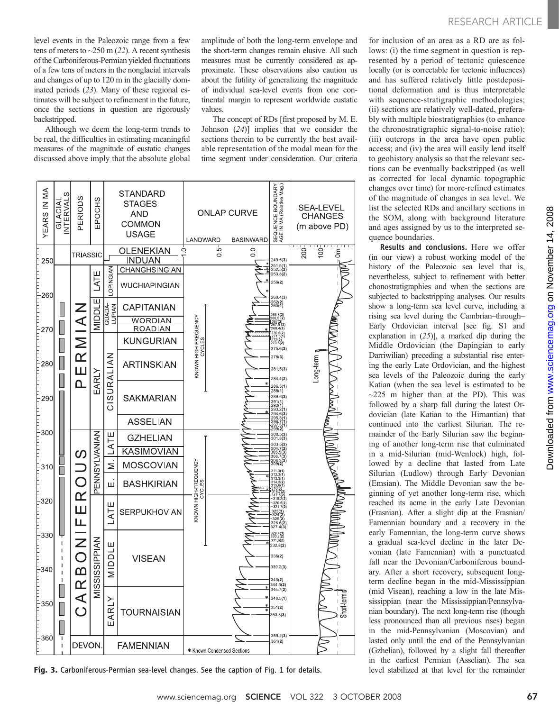level events in the Paleozoic range from a few tens of meters to  $\sim$ 250 m (22). A recent synthesis of the Carboniferous-Permian yielded fluctuations of a few tens of meters in the nonglacial intervals and changes of up to 120 m in the glacially dominated periods (23). Many of these regional estimates will be subject to refinement in the future, once the sections in question are rigorously backstripped.

Although we deem the long-term trends to be real, the difficulties in estimating meaningful measures of the magnitude of eustatic changes discussed above imply that the absolute global amplitude of both the long-term envelope and the short-term changes remain elusive. All such measures must be currently considered as approximate. These observations also caution us about the futility of generalizing the magnitude of individual sea-level events from one continental margin to represent worldwide eustatic values.

The concept of RDs [first proposed by M. E. Johnson (24)] implies that we consider the sections therein to be currently the best available representation of the modal mean for the time segment under consideration. Our criteria

![](_page_3_Figure_5.jpeg)

Fig. 3. Carboniferous-Permian sea-level changes. See the caption of Fig. 1 for details. level stabilized at that level for the remainder

for inclusion of an area as a RD are as follows: (i) the time segment in question is represented by a period of tectonic quiescence locally (or is correctable for tectonic influences) and has suffered relatively little postdepositional deformation and is thus interpretable with sequence-stratigraphic methodologies; (ii) sections are relatively well-dated, preferably with multiple biostratigraphies (to enhance the chronostratigraphic signal-to-noise ratio); (iii) outcrops in the area have open public access; and (iv) the area will easily lend itself to geohistory analysis so that the relevant sections can be eventually backstripped (as well as corrected for local dynamic topographic changes over time) for more-refined estimates of the magnitude of changes in sea level. We list the selected RDs and ancillary sections in the SOM, along with background literature and ages assigned by us to the interpreted sequence boundaries.

Results and conclusions. Here we offer (in our view) a robust working model of the history of the Paleozoic sea level that is, nevertheless, subject to refinement with better chonostratigraphies and when the sections are subjected to backstripping analyses. Our results show a long-term sea level curve, including a rising sea level during the Cambrian–through– Early Ordovician interval [see fig. S1 and explanation in (25)], a marked dip during the Middle Ordovician (the Dapingian to early Darriwilian) preceding a substantial rise entering the early Late Ordovician, and the highest sea levels of the Paleozoic during the early Katian (when the sea level is estimated to be  $\sim$ 225 m higher than at the PD). This was followed by a sharp fall during the latest Ordovician (late Katian to the Hirnantian) that continued into the earliest Silurian. The remainder of the Early Silurian saw the beginning of another long-term rise that culminated in a mid-Silurian (mid-Wenlock) high, followed by a decline that lasted from Late Silurian (Ludlow) through Early Devonian (Emsian). The Middle Devonian saw the beginning of yet another long-term rise, which reached its acme in the early Late Devonian (Frasnian). After a slight dip at the Frasnian/ Famennian boundary and a recovery in the early Famennian, the long-term curve shows a gradual sea-level decline in the later Devonian (late Famennian) with a punctuated fall near the Devonian/Carboniferous boundary. After a short recovery, subsequent longterm decline began in the mid-Mississippian (mid Visean), reaching a low in the late Mississippian (near the Mississippian/Pennsylvanian boundary). The next long-term rise (though less pronounced than all previous rises) began in the mid-Pennsylvanian (Moscovian) and lasted only until the end of the Pennsylvanian (Gzhelian), followed by a slight fall thereafter in the earliest Permian (Asselian). The sea